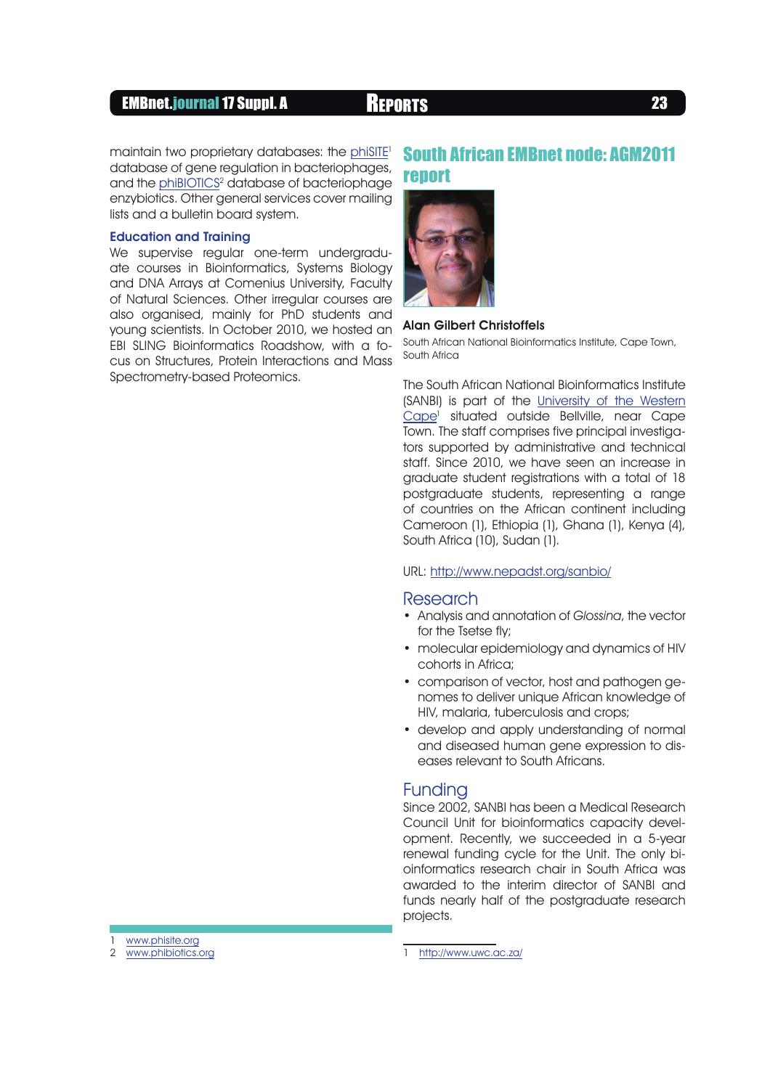## EMBnet.journal 17 Suppl. A REPORTS <sup>23</sup>

maintain two proprietary databases: the phiSITE<sup>1</sup> database of gene regulation in bacteriophages, and the phiBIOTICS<sup>2</sup> database of bacteriophage enzybiotics. Other general services cover mailing lists and a bulletin board system.

#### Education and Training

We supervise regular one-term undergraduate courses in Bioinformatics, Systems Biology and DNA Arrays at Comenius University, Faculty of Natural Sciences. Other irregular courses are also organised, mainly for PhD students and young scientists. In October 2010, we hosted an EBI SLING Bioinformatics Roadshow, with a focus on Structures, Protein Interactions and Mass Spectrometry-based Proteomics.

# South African EMBnet node: AGM2011 report



### Alan Gilbert Christoffels

South African National Bioinformatics Institute, Cape Town, South Africa

The South African National Bioinformatics Institute (SANBI) is part of the University of the Western Cape<sup>1</sup> situated outside Bellville, near Cape Town. The staff comprises five principal investigators supported by administrative and technical staff. Since 2010, we have seen an increase in graduate student registrations with a total of 18 postgraduate students, representing a range of countries on the African continent including Cameroon (1), Ethiopia (1), Ghana (1), Kenya (4), South Africa (10), Sudan (1).

#### URL: http://www.nepadst.org/sanbio/

#### Research

- Analysis and annotation of Glossina, the vector for the Tsetse fly;
- molecular epidemiology and dynamics of HIV cohorts in Africa;
- comparison of vector, host and pathogen genomes to deliver unique African knowledge of HIV, malaria, tuberculosis and crops;
- develop and apply understanding of normal and diseased human gene expression to diseases relevant to South Africans.

## Funding

Since 2002, SANBI has been a Medical Research Council Unit for bioinformatics capacity development. Recently, we succeeded in a 5-year renewal funding cycle for the Unit. The only bioinformatics research chair in South Africa was awarded to the interim director of SANBI and funds nearly half of the postgraduate research projects.

www.phisite.org

<sup>2</sup> www.phibiotics.org

<sup>1</sup> http://www.uwc.ac.za/